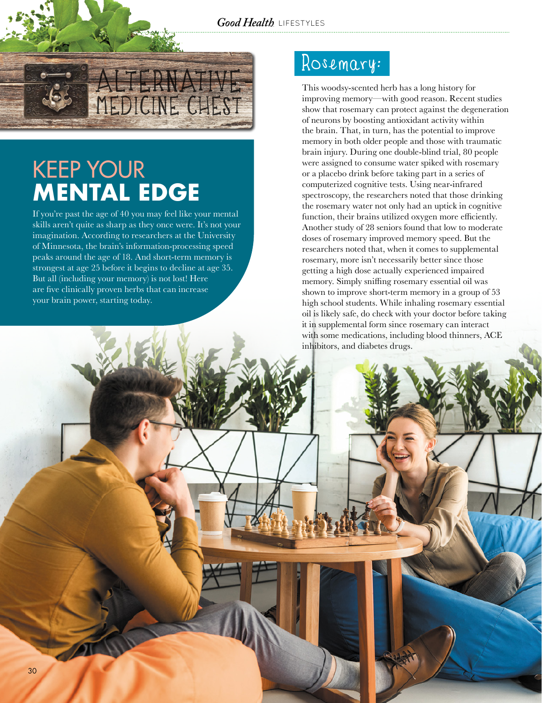*Good Health* LIFESTYLES



# KEEP YOUR **MENTAL EDGE**

If you're past the age of 40 you may feel like your mental skills aren't quite as sharp as they once were. It's not your imagination. According to researchers at the University of Minnesota, the brain's information-processing speed peaks around the age of 18. And short-term memory is strongest at age 25 before it begins to decline at age 35. But all (including your memory) is not lost! Here are five clinically proven herbs that can increase your brain power, starting today.

#### Rosemary:

This woodsy-scented herb has a long history for improving memory—with good reason. Recent studies show that rosemary can protect against the degeneration of neurons by boosting antioxidant activity within the brain. That, in turn, has the potential to improve memory in both older people and those with traumatic brain injury. During one double-blind trial, 80 people were assigned to consume water spiked with rosemary or a placebo drink before taking part in a series of computerized cognitive tests. Using near-infrared spectroscopy, the researchers noted that those drinking the rosemary water not only had an uptick in cognitive function, their brains utilized oxygen more efficiently. Another study of 28 seniors found that low to moderate doses of rosemary improved memory speed. But the researchers noted that, when it comes to supplemental rosemary, more isn't necessarily better since those getting a high dose actually experienced impaired memory. Simply sniffing rosemary essential oil was shown to improve short-term memory in a group of 53 high school students. While inhaling rosemary essential oil is likely safe, do check with your doctor before taking it in supplemental form since rosemary can interact with some medications, including blood thinners, ACE inhibitors, and diabetes drugs.